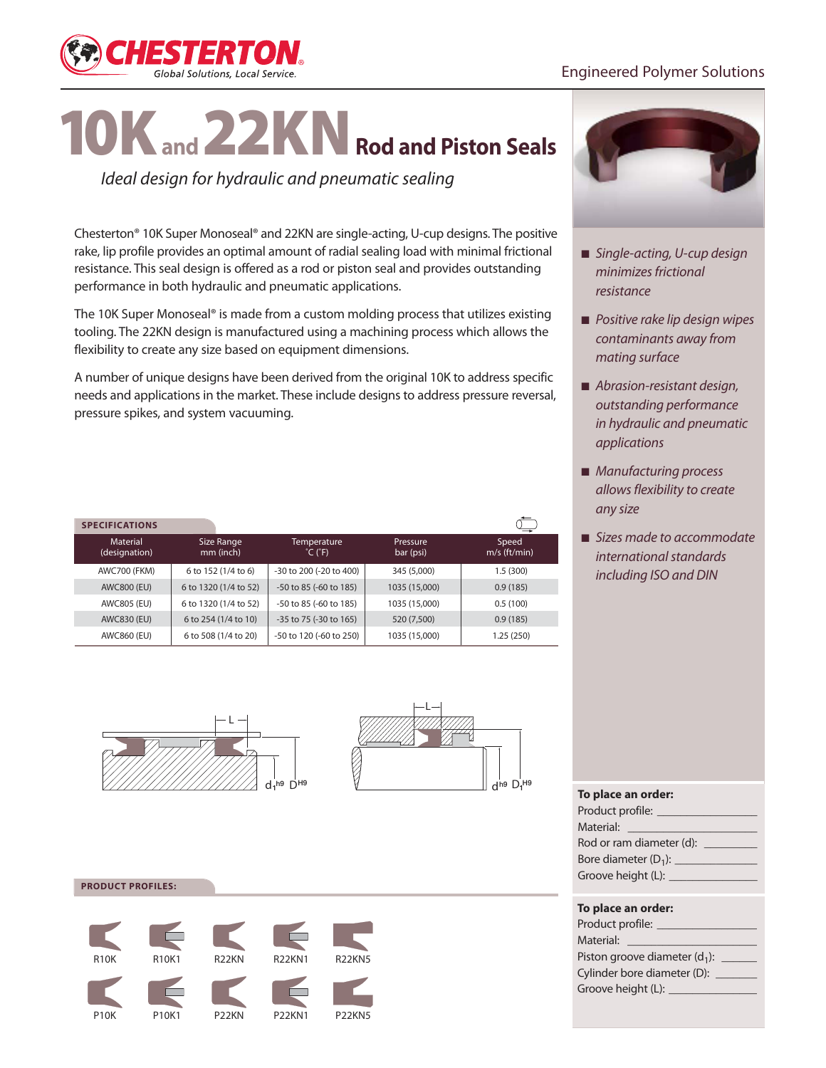

# 10K**and** 22KN**Rod and Piston Seals**

*Ideal design for hydraulic and pneumatic sealing*

Chesterton® 10K Super Monoseal® and 22KN are single-acting, U-cup designs. The positive rake, lip profile provides an optimal amount of radial sealing load with minimal frictional resistance. This seal design is offered as a rod or piston seal and provides outstanding performance in both hydraulic and pneumatic applications.

The 10K Super Monoseal® is made from a custom molding process that utilizes existing tooling. The 22KN design is manufactured using a machining process which allows the flexibility to create any size based on equipment dimensions.

A number of unique designs have been derived from the original 10K to address specific needs and applications in the market. These include designs to address pressure reversal, pressure spikes, and system vacuuming.

| <b>SPECIFICATIONS</b>     |                         |                                             |                       | ⋍                       |
|---------------------------|-------------------------|---------------------------------------------|-----------------------|-------------------------|
| Material<br>(designation) | Size Range<br>mm (inch) | Temperature<br>$^{\circ}$ C ( $^{\circ}$ F) | Pressure<br>bar (psi) | Speed<br>$m/s$ (ft/min) |
| <b>AWC700 (FKM)</b>       | 6 to 152 (1/4 to 6)     | -30 to 200 (-20 to 400)                     | 345 (5,000)           | 1.5(300)                |
| <b>AWC800 (EU)</b>        | 6 to 1320 (1/4 to 52)   | -50 to 85 (-60 to 185)                      | 1035 (15,000)         | 0.9(185)                |
| AWC805 (EU)               | 6 to 1320 (1/4 to 52)   | -50 to 85 (-60 to 185)                      | 1035 (15,000)         | 0.5(100)                |
| AWC830 (EU)               | 6 to 254 (1/4 to 10)    | -35 to 75 (-30 to 165)                      | 520 (7,500)           | 0.9(185)                |
| AWC860 (EU)               | 6 to 508 (1/4 to 20)    | -50 to 120 (-60 to 250)                     | 1035 (15,000)         | 1.25(250)               |



- *Single-acting, U-cup design minimizes frictional resistance*
- *Positive rake lip design wipes contaminants away from mating surface*
- *Abrasion-resistant design, outstanding performance in hydraulic and pneumatic applications*
- *Manufacturing process allows flexibility to create any size*
- *Sizes made to accommodate international standards including ISO and DIN*





#### **PRODUCT PROFILES:**



| To place an order:                                                                                                                                                                                                                   |
|--------------------------------------------------------------------------------------------------------------------------------------------------------------------------------------------------------------------------------------|
| Product profile: ________________                                                                                                                                                                                                    |
| Material: National Material                                                                                                                                                                                                          |
| Rod or ram diameter (d): ____                                                                                                                                                                                                        |
|                                                                                                                                                                                                                                      |
| Groove height (L): <u>Cambridge Contains and American and American and American and American and American and American and American and American and American and American and American and American and American and American a</u> |
|                                                                                                                                                                                                                                      |
|                                                                                                                                                                                                                                      |

#### **To place an order:**

| Product profile:                 |  |  |  |
|----------------------------------|--|--|--|
| Material:                        |  |  |  |
| Piston groove diameter $(d_1)$ : |  |  |  |
| Cylinder bore diameter (D):      |  |  |  |
| Groove height (L):               |  |  |  |
|                                  |  |  |  |